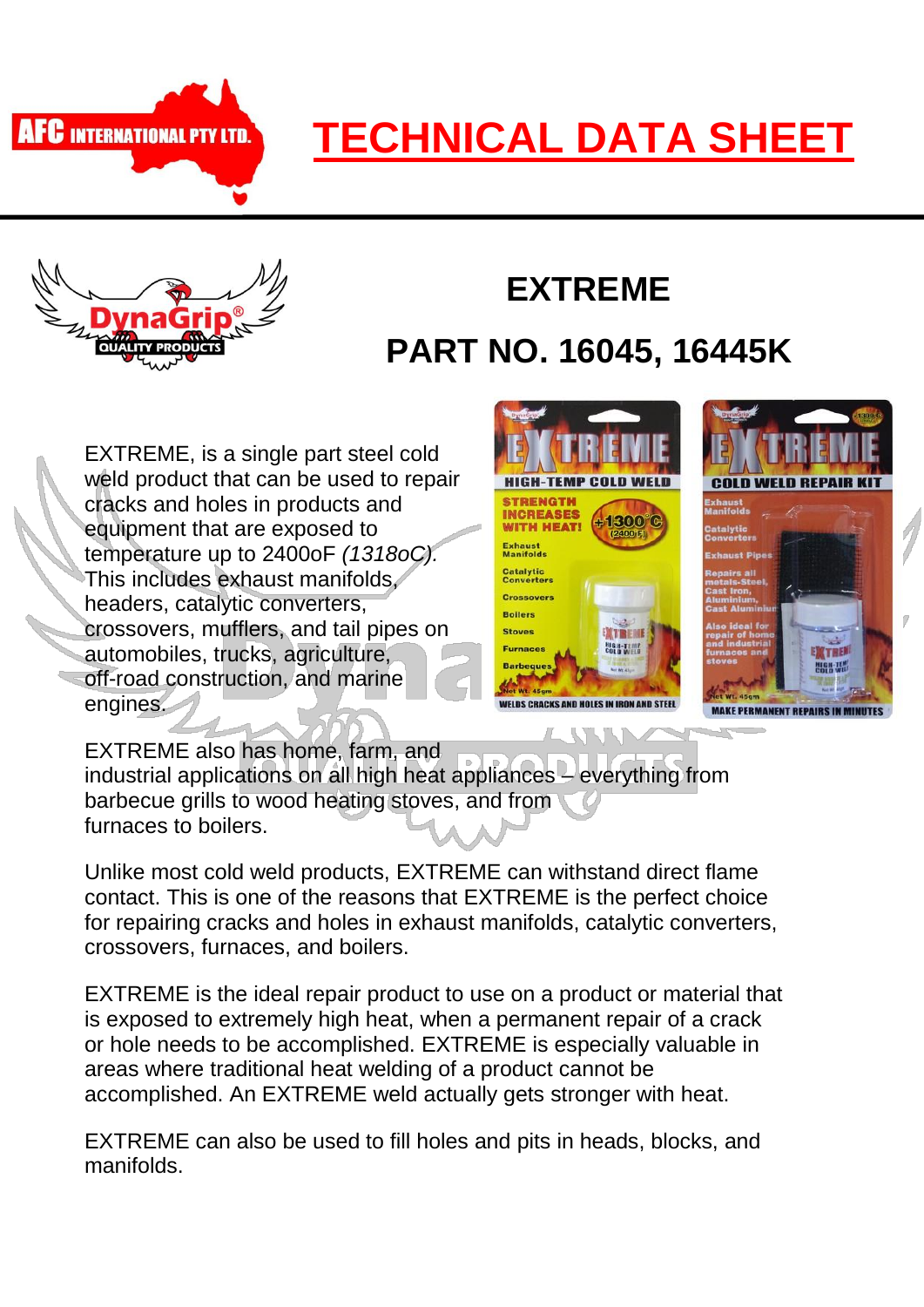

## **TECHNICAL DATA SHEET**



## **EXTREME**

## **PART NO. 16045, 16445K**

EXTREME, is a single part steel cold weld product that can be used to repair cracks and holes in products and equipment that are exposed to temperature up to 2400oF *(1318oC).* This includes exhaust manifolds, headers, catalytic converters, crossovers, mufflers, and tail pipes on automobiles, trucks, agriculture, off-road construction, and marine engines.





EXTREME also has home, farm, and industrial applications on all high heat appliances – everything from barbecue grills to wood heating stoves, and from furnaces to boilers.

Unlike most cold weld products, EXTREME can withstand direct flame contact. This is one of the reasons that EXTREME is the perfect choice for repairing cracks and holes in exhaust manifolds, catalytic converters, crossovers, furnaces, and boilers.

EXTREME is the ideal repair product to use on a product or material that is exposed to extremely high heat, when a permanent repair of a crack or hole needs to be accomplished. EXTREME is especially valuable in areas where traditional heat welding of a product cannot be accomplished. An EXTREME weld actually gets stronger with heat.

EXTREME can also be used to fill holes and pits in heads, blocks, and manifolds.